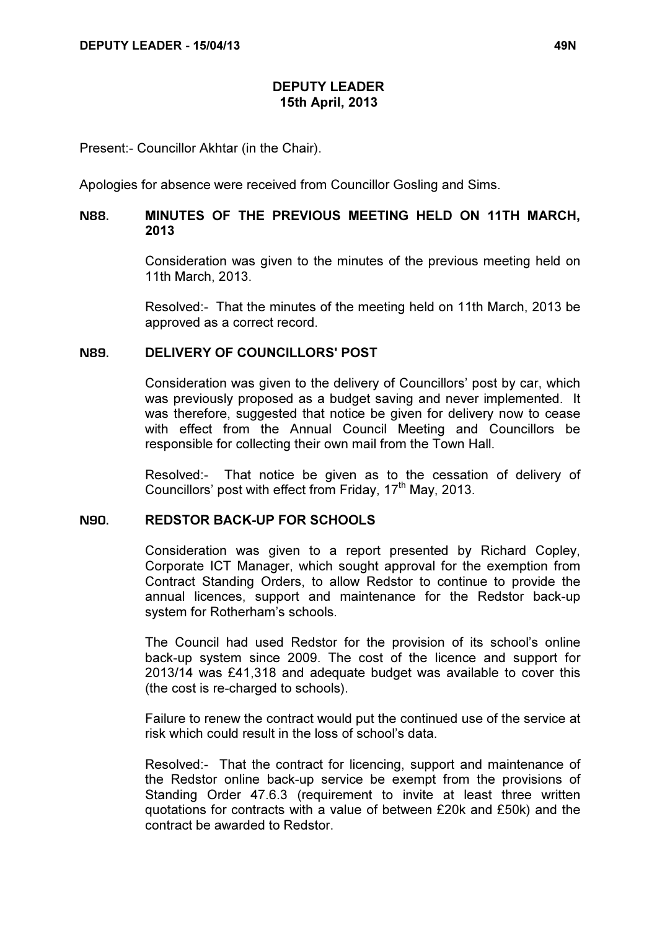## DEPUTY LEADER 15th April, 2013

Present:- Councillor Akhtar (in the Chair).

Apologies for absence were received from Councillor Gosling and Sims.

# N88. MINUTES OF THE PREVIOUS MEETING HELD ON 11TH MARCH, 2013

 Consideration was given to the minutes of the previous meeting held on 11th March, 2013.

Resolved:- That the minutes of the meeting held on 11th March, 2013 be approved as a correct record.

#### N89. DELIVERY OF COUNCILLORS' POST

 Consideration was given to the delivery of Councillors' post by car, which was previously proposed as a budget saving and never implemented. It was therefore, suggested that notice be given for delivery now to cease with effect from the Annual Council Meeting and Councillors be responsible for collecting their own mail from the Town Hall.

Resolved:- That notice be given as to the cessation of delivery of Councillors' post with effect from Friday,  $17<sup>th</sup>$  May, 2013.

# N90. REDSTOR BACK-UP FOR SCHOOLS

 Consideration was given to a report presented by Richard Copley, Corporate ICT Manager, which sought approval for the exemption from Contract Standing Orders, to allow Redstor to continue to provide the annual licences, support and maintenance for the Redstor back-up system for Rotherham's schools.

The Council had used Redstor for the provision of its school's online back-up system since 2009. The cost of the licence and support for 2013/14 was £41,318 and adequate budget was available to cover this (the cost is re-charged to schools).

Failure to renew the contract would put the continued use of the service at risk which could result in the loss of school's data.

Resolved:- That the contract for licencing, support and maintenance of the Redstor online back-up service be exempt from the provisions of Standing Order 47.6.3 (requirement to invite at least three written quotations for contracts with a value of between £20k and £50k) and the contract be awarded to Redstor.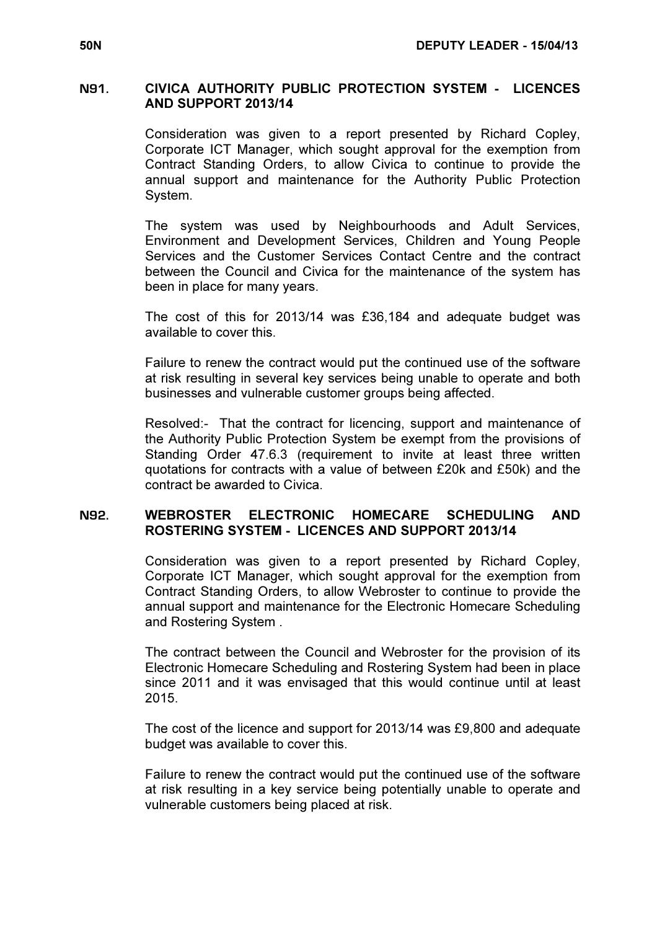#### N91. CIVICA AUTHORITY PUBLIC PROTECTION SYSTEM - LICENCES AND SUPPORT 2013/14

 Consideration was given to a report presented by Richard Copley, Corporate ICT Manager, which sought approval for the exemption from Contract Standing Orders, to allow Civica to continue to provide the annual support and maintenance for the Authority Public Protection System.

The system was used by Neighbourhoods and Adult Services, Environment and Development Services, Children and Young People Services and the Customer Services Contact Centre and the contract between the Council and Civica for the maintenance of the system has been in place for many years.

The cost of this for 2013/14 was £36,184 and adequate budget was available to cover this.

Failure to renew the contract would put the continued use of the software at risk resulting in several key services being unable to operate and both businesses and vulnerable customer groups being affected.

Resolved:- That the contract for licencing, support and maintenance of the Authority Public Protection System be exempt from the provisions of Standing Order 47.6.3 (requirement to invite at least three written quotations for contracts with a value of between £20k and £50k) and the contract be awarded to Civica.

### N92. WEBROSTER ELECTRONIC HOMECARE SCHEDULING AND ROSTERING SYSTEM - LICENCES AND SUPPORT 2013/14

 Consideration was given to a report presented by Richard Copley, Corporate ICT Manager, which sought approval for the exemption from Contract Standing Orders, to allow Webroster to continue to provide the annual support and maintenance for the Electronic Homecare Scheduling and Rostering System .

The contract between the Council and Webroster for the provision of its Electronic Homecare Scheduling and Rostering System had been in place since 2011 and it was envisaged that this would continue until at least 2015.

The cost of the licence and support for 2013/14 was £9,800 and adequate budget was available to cover this.

Failure to renew the contract would put the continued use of the software at risk resulting in a key service being potentially unable to operate and vulnerable customers being placed at risk.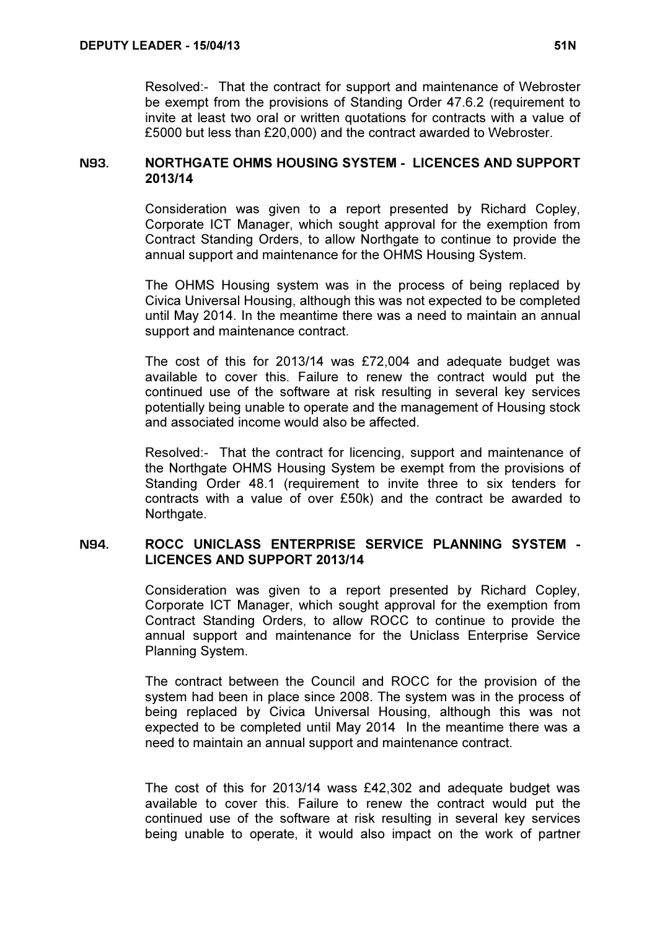Resolved:- That the contract for support and maintenance of Webroster be exempt from the provisions of Standing Order 47.6.2 (requirement to invite at least two oral or written quotations for contracts with a value of £5000 but less than £20,000) and the contract awarded to Webroster.

### N93. NORTHGATE OHMS HOUSING SYSTEM - LICENCES AND SUPPORT 2013/14

 Consideration was given to a report presented by Richard Copley, Corporate ICT Manager, which sought approval for the exemption from Contract Standing Orders, to allow Northgate to continue to provide the annual support and maintenance for the OHMS Housing System.

The OHMS Housing system was in the process of being replaced by Civica Universal Housing, although this was not expected to be completed until May 2014. In the meantime there was a need to maintain an annual support and maintenance contract.

The cost of this for 2013/14 was £72,004 and adequate budget was available to cover this. Failure to renew the contract would put the continued use of the software at risk resulting in several key services potentially being unable to operate and the management of Housing stock and associated income would also be affected.

Resolved:- That the contract for licencing, support and maintenance of the Northgate OHMS Housing System be exempt from the provisions of Standing Order 48.1 (requirement to invite three to six tenders for contracts with a value of over £50k) and the contract be awarded to Northgate.

# N94. ROCC UNICLASS ENTERPRISE SERVICE PLANNING SYSTEM - LICENCES AND SUPPORT 2013/14

 Consideration was given to a report presented by Richard Copley, Corporate ICT Manager, which sought approval for the exemption from Contract Standing Orders, to allow ROCC to continue to provide the annual support and maintenance for the Uniclass Enterprise Service Planning System.

The contract between the Council and ROCC for the provision of the system had been in place since 2008. The system was in the process of being replaced by Civica Universal Housing, although this was not expected to be completed until May 2014 In the meantime there was a need to maintain an annual support and maintenance contract.

The cost of this for 2013/14 wass £42,302 and adequate budget was available to cover this. Failure to renew the contract would put the continued use of the software at risk resulting in several key services being unable to operate, it would also impact on the work of partner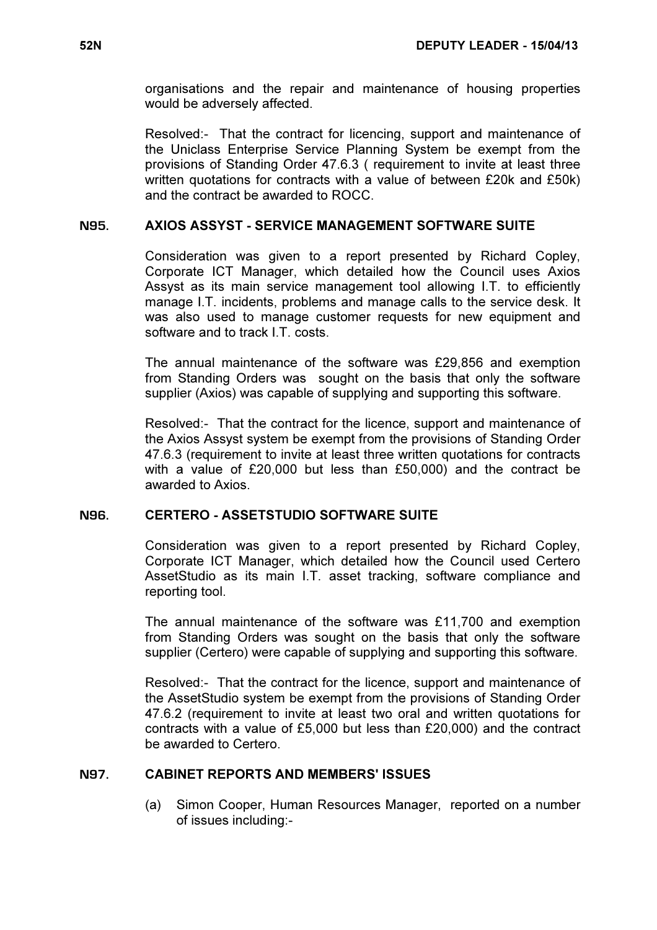organisations and the repair and maintenance of housing properties would be adversely affected.

Resolved:- That the contract for licencing, support and maintenance of the Uniclass Enterprise Service Planning System be exempt from the provisions of Standing Order 47.6.3 ( requirement to invite at least three written quotations for contracts with a value of between £20k and £50k) and the contract be awarded to ROCC.

## N95. AXIOS ASSYST - SERVICE MANAGEMENT SOFTWARE SUITE

 Consideration was given to a report presented by Richard Copley, Corporate ICT Manager, which detailed how the Council uses Axios Assyst as its main service management tool allowing I.T. to efficiently manage I.T. incidents, problems and manage calls to the service desk. It was also used to manage customer requests for new equipment and software and to track I.T. costs.

The annual maintenance of the software was £29,856 and exemption from Standing Orders was sought on the basis that only the software supplier (Axios) was capable of supplying and supporting this software.

Resolved:- That the contract for the licence, support and maintenance of the Axios Assyst system be exempt from the provisions of Standing Order 47.6.3 (requirement to invite at least three written quotations for contracts with a value of £20,000 but less than £50,000) and the contract be awarded to Axios.

#### N96. CERTERO - ASSETSTUDIO SOFTWARE SUITE

 Consideration was given to a report presented by Richard Copley, Corporate ICT Manager, which detailed how the Council used Certero AssetStudio as its main I.T. asset tracking, software compliance and reporting tool.

The annual maintenance of the software was £11,700 and exemption from Standing Orders was sought on the basis that only the software supplier (Certero) were capable of supplying and supporting this software.

Resolved:- That the contract for the licence, support and maintenance of the AssetStudio system be exempt from the provisions of Standing Order 47.6.2 (requirement to invite at least two oral and written quotations for contracts with a value of £5,000 but less than £20,000) and the contract be awarded to Certero.

# N97. CABINET REPORTS AND MEMBERS' ISSUES

 (a) Simon Cooper, Human Resources Manager, reported on a number of issues including:-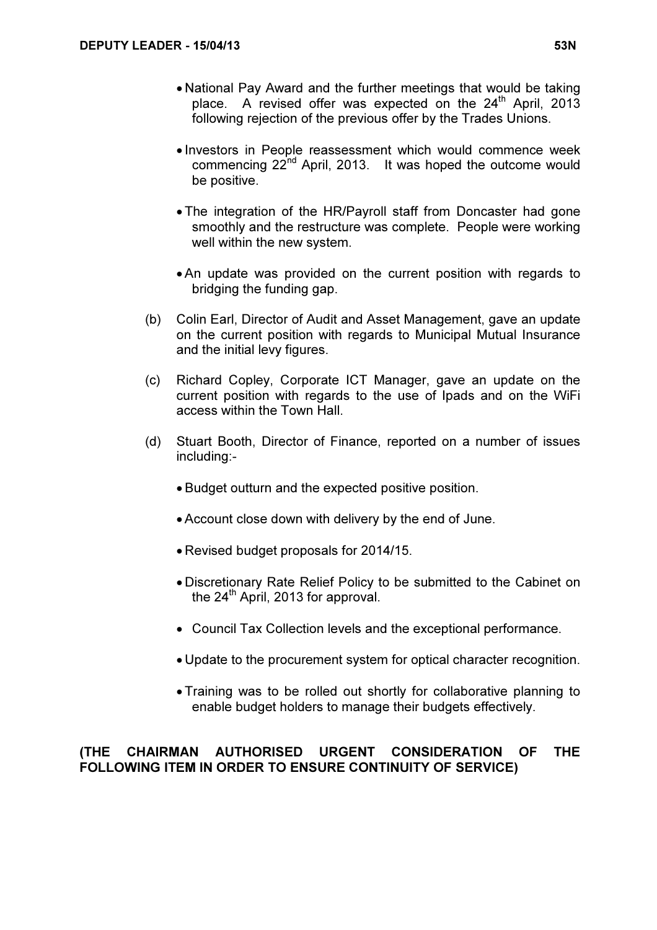- National Pay Award and the further meetings that would be taking place. A revised offer was expected on the  $24<sup>th</sup>$  April, 2013 following rejection of the previous offer by the Trades Unions.
- Investors in People reassessment which would commence week commencing 22<sup>nd</sup> April, 2013. It was hoped the outcome would be positive.
- The integration of the HR/Payroll staff from Doncaster had gone smoothly and the restructure was complete. People were working well within the new system.
- An update was provided on the current position with regards to bridging the funding gap.
- (b) Colin Earl, Director of Audit and Asset Management, gave an update on the current position with regards to Municipal Mutual Insurance and the initial levy figures.
- (c) Richard Copley, Corporate ICT Manager, gave an update on the current position with regards to the use of Ipads and on the WiFi access within the Town Hall.
- (d) Stuart Booth, Director of Finance, reported on a number of issues including:-
	- Budget outturn and the expected positive position.
	- Account close down with delivery by the end of June.
	- Revised budget proposals for 2014/15.
	- Discretionary Rate Relief Policy to be submitted to the Cabinet on the  $24<sup>th</sup>$  April, 2013 for approval.
	- Council Tax Collection levels and the exceptional performance.
	- Update to the procurement system for optical character recognition.
	- Training was to be rolled out shortly for collaborative planning to enable budget holders to manage their budgets effectively.

# (THE CHAIRMAN AUTHORISED URGENT CONSIDERATION OF THE FOLLOWING ITEM IN ORDER TO ENSURE CONTINUITY OF SERVICE)